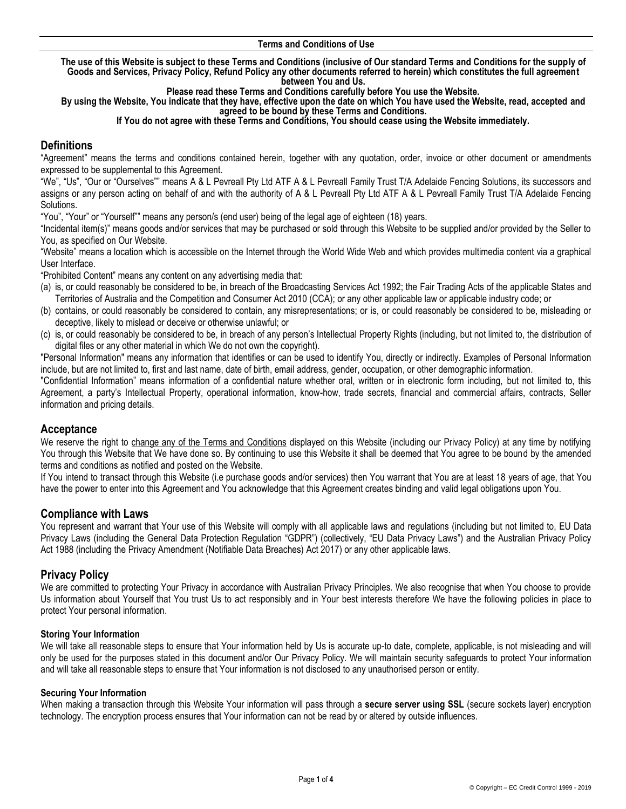#### **Terms and Conditions of Use**

**The use of this Website is subject to these Terms and Conditions (inclusive of Our standard Terms and Conditions for the supply of Goods and Services, Privacy Policy, Refund Policy any other documents referred to herein) which constitutes the full agreement between You and Us.** 

**Please read these Terms and Conditions carefully before You use the Website.** 

**By using the Website, You indicate that they have, effective upon the date on which You have used the Website, read, accepted and agreed to be bound by these Terms and Conditions.**

**If You do not agree with these Terms and Conditions, You should cease using the Website immediately.**

# **Definitions**

"Agreement" means the terms and conditions contained herein, together with any quotation, order, invoice or other document or amendments expressed to be supplemental to this Agreement.

"We", "Us", "Our or "Ourselves"" means A & L Pevreall Pty Ltd ATF A & L Pevreall Family Trust T/A Adelaide Fencing Solutions, its successors and assigns or any person acting on behalf of and with the authority of A & L Pevreall Pty Ltd ATF A & L Pevreall Family Trust T/A Adelaide Fencing Solutions.

"You", "Your" or "Yourself"" means any person/s (end user) being of the legal age of eighteen (18) years.

"Incidental item(s)" means goods and/or services that may be purchased or sold through this Website to be supplied and/or provided by the Seller to You, as specified on Our Website.

"Website" means a location which is accessible on the Internet through the World Wide Web and which provides multimedia content via a graphical User Interface.

"Prohibited Content" means any content on any advertising media that:

- (a) is, or could reasonably be considered to be, in breach of the Broadcasting Services Act 1992; the Fair Trading Acts of the applicable States and Territories of Australia and the Competition and Consumer Act 2010 (CCA); or any other applicable law or applicable industry code; or
- (b) contains, or could reasonably be considered to contain, any misrepresentations; or is, or could reasonably be considered to be, misleading or deceptive, likely to mislead or deceive or otherwise unlawful; or
- (c) is, or could reasonably be considered to be, in breach of any person's Intellectual Property Rights (including, but not limited to, the distribution of digital files or any other material in which We do not own the copyright).

"Personal Information" means any information that identifies or can be used to identify You, directly or indirectly. Examples of Personal Information include, but are not limited to, first and last name, date of birth, email address, gender, occupation, or other demographic information.

"Confidential Information" means information of a confidential nature whether oral, written or in electronic form including, but not limited to, this Agreement, a party's Intellectual Property, operational information, know-how, trade secrets, financial and commercial affairs, contracts, Seller information and pricing details.

# **Acceptance**

We reserve the right to change any of the Terms and Conditions displayed on this Website (including our Privacy Policy) at any time by notifying You through this Website that We have done so. By continuing to use this Website it shall be deemed that You agree to be bound by the amended terms and conditions as notified and posted on the Website.

If You intend to transact through this Website (i.e purchase goods and/or services) then You warrant that You are at least 18 years of age, that You have the power to enter into this Agreement and You acknowledge that this Agreement creates binding and valid legal obligations upon You.

# **Compliance with Laws**

You represent and warrant that Your use of this Website will comply with all applicable laws and regulations (including but not limited to, EU Data Privacy Laws (including the General Data Protection Regulation "GDPR") (collectively, "EU Data Privacy Laws") and the Australian Privacy Policy Act 1988 (including the Privacy Amendment (Notifiable Data Breaches) Act 2017) or any other applicable laws.

# **Privacy Policy**

We are committed to protecting Your Privacy in accordance with Australian Privacy Principles. We also recognise that when You choose to provide Us information about Yourself that You trust Us to act responsibly and in Your best interests therefore We have the following policies in place to protect Your personal information.

### **Storing Your Information**

We will take all reasonable steps to ensure that Your information held by Us is accurate up-to date, complete, applicable, is not misleading and will only be used for the purposes stated in this document and/or Our Privacy Policy. We will maintain security safeguards to protect Your information and will take all reasonable steps to ensure that Your information is not disclosed to any unauthorised person or entity.

### **Securing Your Information**

When making a transaction through this Website Your information will pass through a **secure server using SSL** (secure sockets layer) encryption technology. The encryption process ensures that Your information can not be read by or altered by outside influences.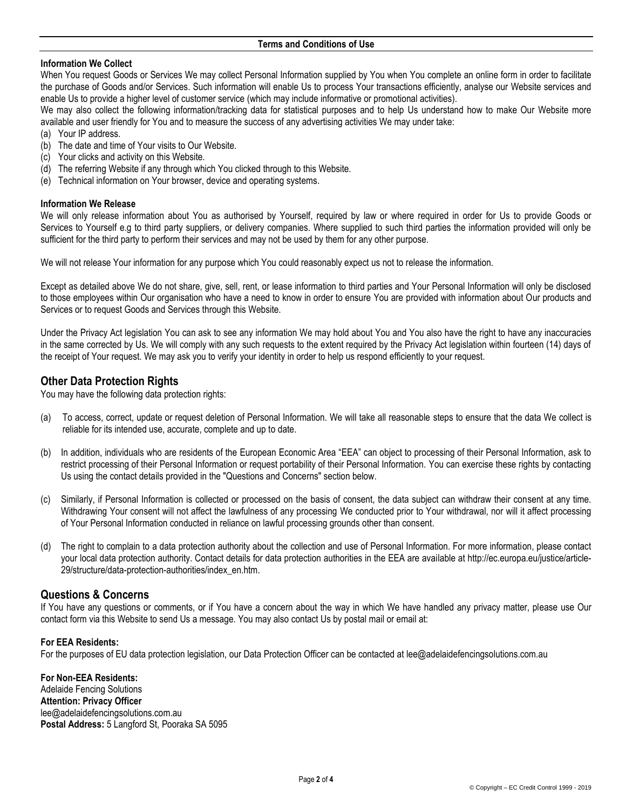### **Information We Collect**

When You request Goods or Services We may collect Personal Information supplied by You when You complete an online form in order to facilitate the purchase of Goods and/or Services. Such information will enable Us to process Your transactions efficiently, analyse our Website services and enable Us to provide a higher level of customer service (which may include informative or promotional activities).

We may also collect the following information/tracking data for statistical purposes and to help Us understand how to make Our Website more available and user friendly for You and to measure the success of any advertising activities We may under take:

- (a) Your IP address.
- (b) The date and time of Your visits to Our Website.
- (c) Your clicks and activity on this Website.
- (d) The referring Website if any through which You clicked through to this Website.
- (e) Technical information on Your browser, device and operating systems.

### **Information We Release**

We will only release information about You as authorised by Yourself, required by law or where required in order for Us to provide Goods or Services to Yourself e.g to third party suppliers, or delivery companies. Where supplied to such third parties the information provided will only be sufficient for the third party to perform their services and may not be used by them for any other purpose.

We will not release Your information for any purpose which You could reasonably expect us not to release the information.

Except as detailed above We do not share, give, sell, rent, or lease information to third parties and Your Personal Information will only be disclosed to those employees within Our organisation who have a need to know in order to ensure You are provided with information about Our products and Services or to request Goods and Services through this Website.

Under the Privacy Act legislation You can ask to see any information We may hold about You and You also have the right to have any inaccuracies in the same corrected by Us. We will comply with any such requests to the extent required by the Privacy Act legislation within fourteen (14) days of the receipt of Your request. We may ask you to verify your identity in order to help us respond efficiently to your request.

# **Other Data Protection Rights**

You may have the following data protection rights:

- (a) To access, correct, update or request deletion of Personal Information. We will take all reasonable steps to ensure that the data We collect is reliable for its intended use, accurate, complete and up to date.
- (b) In addition, individuals who are residents of the European Economic Area "EEA" can object to processing of their Personal Information, ask to restrict processing of their Personal Information or request portability of their Personal Information. You can exercise these rights by contacting Us using the contact details provided in the "Questions and Concerns" section below.
- (c) Similarly, if Personal Information is collected or processed on the basis of consent, the data subject can withdraw their consent at any time. Withdrawing Your consent will not affect the lawfulness of any processing We conducted prior to Your withdrawal, nor will it affect processing of Your Personal Information conducted in reliance on lawful processing grounds other than consent.
- (d) The right to complain to a data protection authority about the collection and use of Personal Information. For more information, please contact your local data protection authority. Contact details for data protection authorities in the EEA are available at http://ec.europa.eu/justice/article-29/structure/data-protection-authorities/index\_en.htm.

# **Questions & Concerns**

If You have any questions or comments, or if You have a concern about the way in which We have handled any privacy matter, please use Our [contact form](https://mailchimp.com/contact/) via this Website to send Us a message. You may also contact Us by postal mail or email at:

#### **For EEA Residents:**

For the purposes of EU data protection legislation, our Data Protection Officer can be contacted at [lee@adelaidefencingsolutions.com.au](mailto:lee@adelaidefencingsolutions.com.au)

**For Non-EEA Residents:** Adelaide Fencing Solutions **Attention: Privacy Officer** lee@adelaidefencingsolutions.com.au **Postal Address:** 5 Langford St, Pooraka SA 5095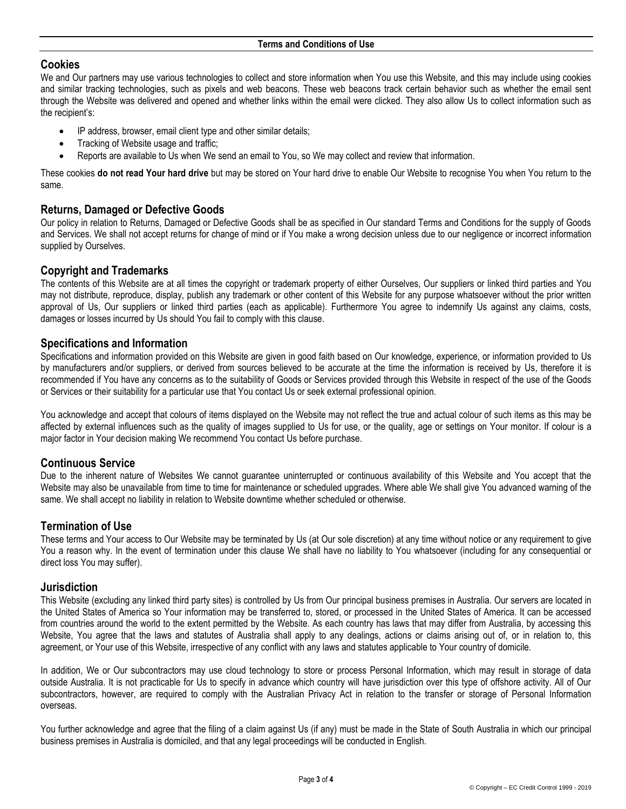# **Cookies**

We and Our partners may use various technologies to collect and store information when You use this Website, and this may include using cookies and similar tracking technologies, such as pixels and web beacons. These web beacons track certain behavior such as whether the email sent through the Website was delivered and opened and whether links within the email were clicked. They also allow Us to collect information such as the recipient's:

- IP address, browser, email client type and other similar details;
- Tracking of Website usage and traffic;
- Reports are available to Us when We send an email to You, so We may collect and review that information.

These cookies **do not read Your hard drive** but may be stored on Your hard drive to enable Our Website to recognise You when You return to the same.

# **Returns, Damaged or Defective Goods**

Our policy in relation to Returns, Damaged or Defective Goods shall be as specified in Our standard Terms and Conditions for the supply of Goods and Services. We shall not accept returns for change of mind or if You make a wrong decision unless due to our negligence or incorrect information supplied by Ourselves.

### **Copyright and Trademarks**

The contents of this Website are at all times the copyright or trademark property of either Ourselves, Our suppliers or linked third parties and You may not distribute, reproduce, display, publish any trademark or other content of this Website for any purpose whatsoever without the prior written approval of Us, Our suppliers or linked third parties (each as applicable). Furthermore You agree to indemnify Us against any claims, costs, damages or losses incurred by Us should You fail to comply with this clause.

# **Specifications and Information**

Specifications and information provided on this Website are given in good faith based on Our knowledge, experience, or information provided to Us by manufacturers and/or suppliers, or derived from sources believed to be accurate at the time the information is received by Us, therefore it is recommended if You have any concerns as to the suitability of Goods or Services provided through this Website in respect of the use of the Goods or Services or their suitability for a particular use that You contact Us or seek external professional opinion.

You acknowledge and accept that colours of items displayed on the Website may not reflect the true and actual colour of such items as this may be affected by external influences such as the quality of images supplied to Us for use, or the quality, age or settings on Your monitor. If colour is a major factor in Your decision making We recommend You contact Us before purchase.

# **Continuous Service**

Due to the inherent nature of Websites We cannot guarantee uninterrupted or continuous availability of this Website and You accept that the Website may also be unavailable from time to time for maintenance or scheduled upgrades. Where able We shall give You advanced warning of the same. We shall accept no liability in relation to Website downtime whether scheduled or otherwise.

# **Termination of Use**

These terms and Your access to Our Website may be terminated by Us (at Our sole discretion) at any time without notice or any requirement to give You a reason why. In the event of termination under this clause We shall have no liability to You whatsoever (including for any consequential or direct loss You may suffer).

### **Jurisdiction**

This Website (excluding any linked third party sites) is controlled by Us from Our principal business premises in Australia. Our servers are located in the United States of America so Your information may be transferred to, stored, or processed in the United States of America. It can be accessed from countries around the world to the extent permitted by the Website. As each country has laws that may differ from Australia, by accessing this Website, You agree that the laws and statutes of Australia shall apply to any dealings, actions or claims arising out of, or in relation to, this agreement, or Your use of this Website, irrespective of any conflict with any laws and statutes applicable to Your country of domicile.

In addition, We or Our subcontractors may use cloud technology to store or process Personal Information, which may result in storage of data outside Australia. It is not practicable for Us to specify in advance which country will have jurisdiction over this type of offshore activity. All of Our subcontractors, however, are required to comply with the Australian Privacy Act in relation to the transfer or storage of Personal Information overseas.

You further acknowledge and agree that the filing of a claim against Us (if any) must be made in the State of South Australia in which our principal business premises in Australia is domiciled, and that any legal proceedings will be conducted in English.